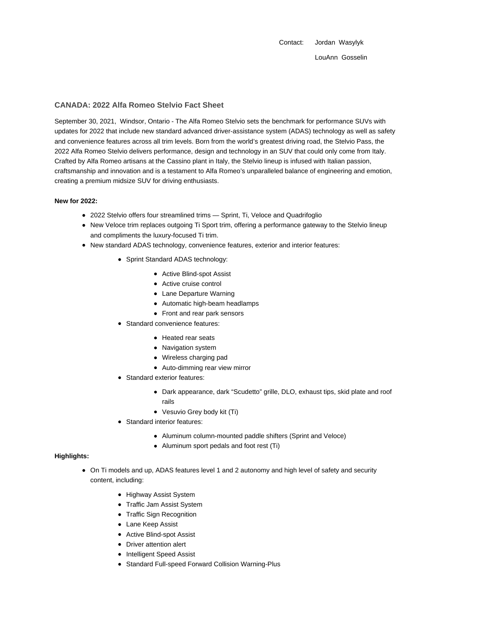Contact: Jordan Wasylyk LouAnn Gosselin

## **CANADA: 2022 Alfa Romeo Stelvio Fact Sheet**

September 30, 2021, Windsor, Ontario - The Alfa Romeo Stelvio sets the benchmark for performance SUVs with updates for 2022 that include new standard advanced driver-assistance system (ADAS) technology as well as safety and convenience features across all trim levels. Born from the world's greatest driving road, the Stelvio Pass, the 2022 Alfa Romeo Stelvio delivers performance, design and technology in an SUV that could only come from Italy. Crafted by Alfa Romeo artisans at the Cassino plant in Italy, the Stelvio lineup is infused with Italian passion, craftsmanship and innovation and is a testament to Alfa Romeo's unparalleled balance of engineering and emotion, creating a premium midsize SUV for driving enthusiasts.

### **New for 2022:**

- 2022 Stelvio offers four streamlined trims Sprint, Ti, Veloce and Quadrifoglio
- New Veloce trim replaces outgoing Ti Sport trim, offering a performance gateway to the Stelvio lineup and compliments the luxury-focused Ti trim.
- New standard ADAS technology, convenience features, exterior and interior features:
	- Sprint Standard ADAS technology:
		- Active Blind-spot Assist
		- Active cruise control
		- Lane Departure Warning
		- Automatic high-beam headlamps
		- Front and rear park sensors
	- Standard convenience features:
		- Heated rear seats
		- Navigation system
		- Wireless charging pad
		- Auto-dimming rear view mirror
	- Standard exterior features:
		- Dark appearance, dark "Scudetto" grille, DLO, exhaust tips, skid plate and roof rails
		- Vesuvio Grey body kit (Ti)
	- Standard interior features:
		- Aluminum column-mounted paddle shifters (Sprint and Veloce)
		- Aluminum sport pedals and foot rest (Ti)

#### **Highlights:**

- On Ti models and up, ADAS features level 1 and 2 autonomy and high level of safety and security content, including:
	- Highway Assist System
	- Traffic Jam Assist System
	- Traffic Sign Recognition
	- Lane Keep Assist
	- Active Blind-spot Assist
	- Driver attention alert
	- Intelligent Speed Assist
	- Standard Full-speed Forward Collision Warning-Plus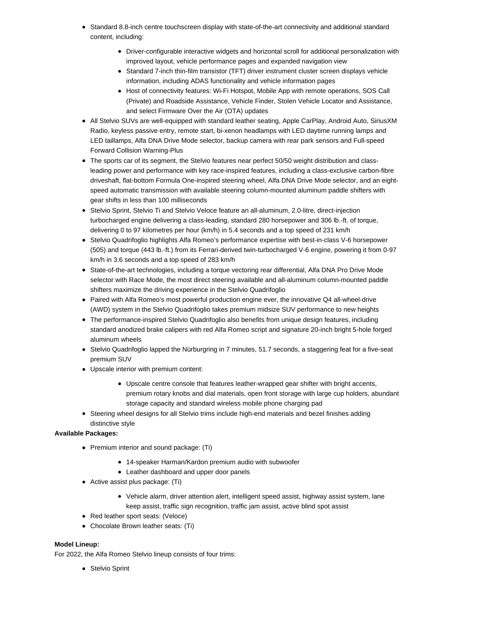- Standard 8.8-inch centre touchscreen display with state-of-the-art connectivity and additional standard content, including:
	- Driver-configurable interactive widgets and horizontal scroll for additional personalization with improved layout, vehicle performance pages and expanded navigation view
	- Standard 7-inch thin-film transistor (TFT) driver instrument cluster screen displays vehicle information, including ADAS functionality and vehicle information pages
	- Host of connectivity features: Wi-Fi Hotspot, Mobile App with remote operations, SOS Call (Private) and Roadside Assistance, Vehicle Finder, Stolen Vehicle Locator and Assistance, and select Firmware Over the Air (OTA) updates
- All Stelvio SUVs are well-equipped with standard leather seating, Apple CarPlay, Android Auto, SiriusXM Radio, keyless passive entry, remote start, bi-xenon headlamps with LED daytime running lamps and LED taillamps, Alfa DNA Drive Mode selector, backup camera with rear park sensors and Full-speed Forward Collision Warning-Plus
- The sports car of its segment, the Stelvio features near perfect 50/50 weight distribution and classleading power and performance with key race-inspired features, including a class-exclusive carbon-fibre driveshaft, flat-bottom Formula One-inspired steering wheel, Alfa DNA Drive Mode selector, and an eightspeed automatic transmission with available steering column-mounted aluminum paddle shifters with gear shifts in less than 100 milliseconds
- Stelvio Sprint, Stelvio Ti and Stelvio Veloce feature an all-aluminum, 2.0-litre, direct-injection turbocharged engine delivering a class-leading, standard 280 horsepower and 306 lb.-ft. of torque, delivering 0 to 97 kilometres per hour (km/h) in 5.4 seconds and a top speed of 231 km/h
- Stelvio Quadrifoglio highlights Alfa Romeo's performance expertise with best-in-class V-6 horsepower (505) and torque (443 lb.-ft.) from its Ferrari-derived twin-turbocharged V-6 engine, powering it from 0-97 km/h in 3.6 seconds and a top speed of 283 km/h
- State-of-the-art technologies, including a torque vectoring rear differential, Alfa DNA Pro Drive Mode selector with Race Mode, the most direct steering available and all-aluminum column-mounted paddle shifters maximize the driving experience in the Stelvio Quadrifoglio
- Paired with Alfa Romeo's most powerful production engine ever, the innovative Q4 all-wheel-drive (AWD) system in the Stelvio Quadrifoglio takes premium midsize SUV performance to new heights
- The performance-inspired Stelvio Quadrifoglio also benefits from unique design features, including standard anodized brake calipers with red Alfa Romeo script and signature 20-inch bright 5-hole forged aluminum wheels
- Stelvio Quadrifoglio lapped the Nürburgring in 7 minutes, 51.7 seconds, a staggering feat for a five-seat premium SUV
- Upscale interior with premium content:
	- Upscale centre console that features leather-wrapped gear shifter with bright accents, premium rotary knobs and dial materials, open front storage with large cup holders, abundant storage capacity and standard wireless mobile phone charging pad
- Steering wheel designs for all Stelvio trims include high-end materials and bezel finishes adding distinctive style

# **Available Packages:**

- Premium interior and sound package: (Ti)
	- 14-speaker Harman/Kardon premium audio with subwoofer
	- Leather dashboard and upper door panels
- Active assist plus package: (Ti)
	- Vehicle alarm, driver attention alert, intelligent speed assist, highway assist system, lane keep assist, traffic sign recognition, traffic jam assist, active blind spot assist
- Red leather sport seats: (Veloce)
- Chocolate Brown leather seats: (Ti)

# **Model Lineup:**

For 2022, the Alfa Romeo Stelvio lineup consists of four trims:

Stelvio Sprint